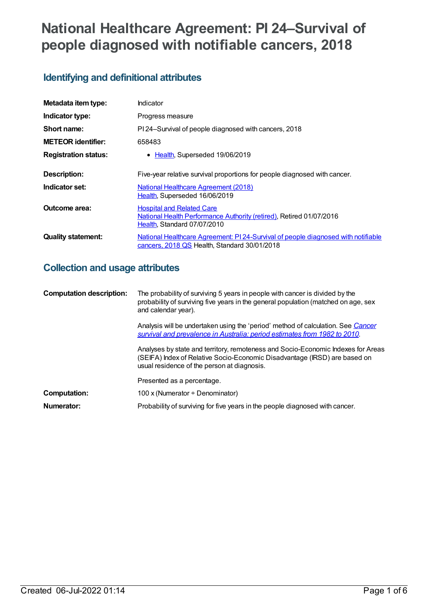# **National Healthcare Agreement: PI 24–Survival of people diagnosed with notifiable cancers, 2018**

## **Identifying and definitional attributes**

| Metadata item type:         | Indicator                                                                                                                              |
|-----------------------------|----------------------------------------------------------------------------------------------------------------------------------------|
| Indicator type:             | Progress measure                                                                                                                       |
| Short name:                 | PI 24-Survival of people diagnosed with cancers, 2018                                                                                  |
| <b>METEOR identifier:</b>   | 658483                                                                                                                                 |
| <b>Registration status:</b> | Health, Superseded 19/06/2019<br>$\bullet$                                                                                             |
| <b>Description:</b>         | Five-year relative survival proportions for people diagnosed with cancer.                                                              |
| Indicator set:              | <b>National Healthcare Agreement (2018)</b><br>Health, Superseded 16/06/2019                                                           |
| Outcome area:               | <b>Hospital and Related Care</b><br>National Health Performance Authority (retired), Retired 01/07/2016<br>Health, Standard 07/07/2010 |
| <b>Quality statement:</b>   | National Healthcare Agreement: PI 24-Survival of people diagnosed with notifiable<br>cancers, 2018 QS Health, Standard 30/01/2018      |

## **Collection and usage attributes**

| <b>Computation description:</b> | The probability of surviving 5 years in people with cancer is divided by the<br>probability of surviving five years in the general population (matched on age, sex<br>and calendar year).                    |
|---------------------------------|--------------------------------------------------------------------------------------------------------------------------------------------------------------------------------------------------------------|
|                                 | Analysis will be undertaken using the 'period' method of calculation. See Cancer<br>survival and prevalence in Australia: period estimates from 1982 to 2010.                                                |
|                                 | Analyses by state and territory, remoteness and Socio-Economic Indexes for Areas<br>(SEIFA) Index of Relative Socio-Economic Disadvantage (IRSD) are based on<br>usual residence of the person at diagnosis. |
|                                 | Presented as a percentage.                                                                                                                                                                                   |
| Computation:                    | 100 x (Numerator $\div$ Denominator)                                                                                                                                                                         |
| Numerator:                      | Probability of surviving for five years in the people diagnosed with cancer.                                                                                                                                 |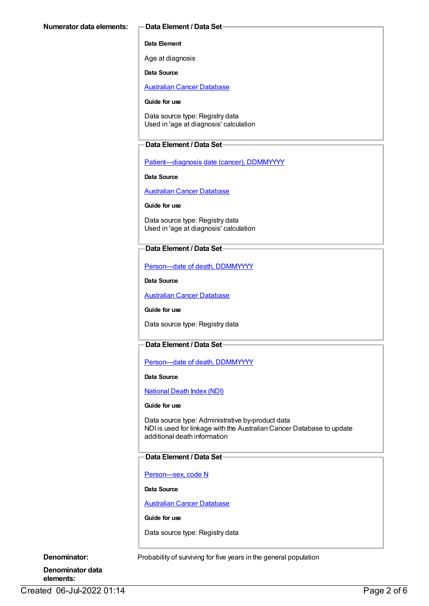#### **Data Element**

Age at diagnosis

**Data Source**

[Australian](https://meteor.aihw.gov.au/content/393621) Cancer Database

#### **Guide for use**

Data source type: Registry data Used in 'age at diagnosis' calculation

#### **Data Element / Data Set**

[Patient—diagnosis](https://meteor.aihw.gov.au/content/270061) date (cancer), DDMMYYYY

**Data Source**

[Australian](https://meteor.aihw.gov.au/content/393621) Cancer Database

**Guide for use**

Data source type: Registry data Used in 'age at diagnosis' calculation

### **Data Element / Data Set**

[Person—date](https://meteor.aihw.gov.au/content/287305) of death, DDMMYYYY

**Data Source**

[Australian](https://meteor.aihw.gov.au/content/393621) Cancer Database

**Guide for use**

Data source type: Registry data

## **Data Element / Data Set**

Person-date of death, DDMMYYYY

**Data Source**

[National](https://meteor.aihw.gov.au/content/395083) Death Index (NDI)

#### **Guide for use**

Data source type: Administrative by-product data NDI is used for linkage with the Australian Cancer Database to update additional death information

### **Data Element / Data Set**

[Person—sex,](https://meteor.aihw.gov.au/content/287316) code N

**Data Source**

[Australian](https://meteor.aihw.gov.au/content/393621) Cancer Database

**Guide for use**

Data source type: Registry data

**Denominator:** Probability of surviving for five years in the general population

**Denominator data elements:**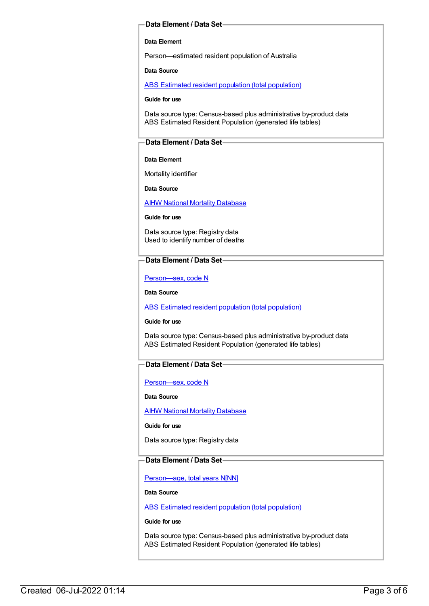#### **Data Element / Data Set**

#### **Data Element**

Person—estimated resident population of Australia

**Data Source**

ABS Estimated resident population (total [population\)](https://meteor.aihw.gov.au/content/393625)

**Guide for use**

Data source type: Census-based plus administrative by-product data ABS Estimated Resident Population (generated life tables)

#### **Data Element / Data Set**

#### **Data Element**

Mortality identifier

**Data Source**

**AIHW National Mortality [Database](https://meteor.aihw.gov.au/content/395084)** 

**Guide for use**

Data source type: Registry data Used to identify number of deaths

#### **Data Element / Data Set**

[Person—sex,](https://meteor.aihw.gov.au/content/287316) code N

**Data Source**

ABS Estimated resident population (total [population\)](https://meteor.aihw.gov.au/content/393625)

**Guide for use**

Data source type: Census-based plus administrative by-product data ABS Estimated Resident Population (generated life tables)

#### **Data Element / Data Set**

[Person—sex,](https://meteor.aihw.gov.au/content/287316) code N

**Data Source**

AIHW National Mortality [Database](https://meteor.aihw.gov.au/content/395084)

**Guide for use**

Data source type: Registry data

#### **Data Element / Data Set**

[Person—age,](https://meteor.aihw.gov.au/content/303794) total years N[NN]

**Data Source**

ABS Estimated resident population (total [population\)](https://meteor.aihw.gov.au/content/393625)

**Guide for use**

Data source type: Census-based plus administrative by-product data ABS Estimated Resident Population (generated life tables)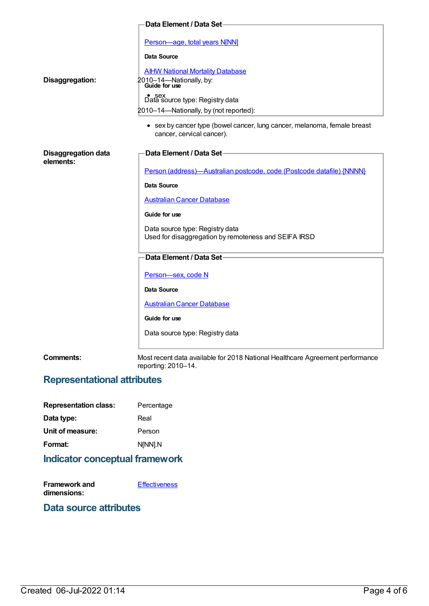|                                         | Data Element / Data Set-                                                                                                                                                                                                                                                                                   |
|-----------------------------------------|------------------------------------------------------------------------------------------------------------------------------------------------------------------------------------------------------------------------------------------------------------------------------------------------------------|
| Disaggregation:                         | Person-age, total years N[NN]<br><b>Data Source</b><br><b>AIHW National Mortality Database</b><br>2010-14-Nationally, by:<br>Guide for use<br>Sex<br>Data source type: Registry data<br>2010-14-Nationally, by (not reported):<br>• sex by cancer type (bowel cancer, lung cancer, melanoma, female breast |
|                                         | cancer, cervical cancer).                                                                                                                                                                                                                                                                                  |
| <b>Disaggregation data</b><br>elements: | Data Element / Data Set-                                                                                                                                                                                                                                                                                   |
|                                         | Person (address)-Australian postcode, code (Postcode datafile) {NNNN}                                                                                                                                                                                                                                      |
|                                         | Data Source                                                                                                                                                                                                                                                                                                |
|                                         | <b>Australian Cancer Database</b>                                                                                                                                                                                                                                                                          |
|                                         | Guide for use                                                                                                                                                                                                                                                                                              |
|                                         | Data source type: Registry data<br>Used for disaggregation by remoteness and SEIFA IRSD                                                                                                                                                                                                                    |
|                                         | Data Element / Data Set-                                                                                                                                                                                                                                                                                   |
|                                         | Person-sex, code N                                                                                                                                                                                                                                                                                         |
|                                         | Data Source                                                                                                                                                                                                                                                                                                |
|                                         | <b>Australian Cancer Database</b>                                                                                                                                                                                                                                                                          |
|                                         | Guide for use                                                                                                                                                                                                                                                                                              |
|                                         | Data source type: Registry data                                                                                                                                                                                                                                                                            |
| <b>Comments:</b>                        | Most recent data available for 2018 National Healthcare Agreement performance<br>reporting: 2010-14.                                                                                                                                                                                                       |

## **Representational attributes**

| <b>Representation class:</b> | Percentage |
|------------------------------|------------|
| Data type:                   | Real       |
| Unit of measure:             | Person     |
| Format:                      | N[NN].N    |
|                              |            |

## **Indicator conceptual framework**

| <b>Framework and</b> | <b>Effectiveness</b> |
|----------------------|----------------------|
| dimensions:          |                      |

## **Data source attributes**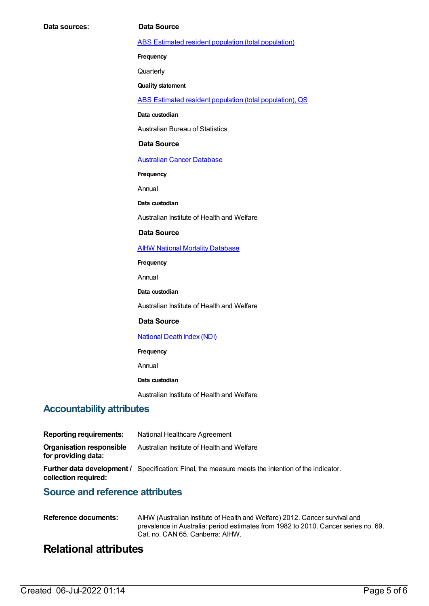ABS Estimated resident population (total [population\)](https://meteor.aihw.gov.au/content/393625)

**Frequency**

**Quarterly** 

**Quality statement**

ABS Estimated resident population (total [population\),](https://meteor.aihw.gov.au/content/449216) QS

**Data custodian**

Australian Bureau of Statistics

#### **Data Source**

[Australian](https://meteor.aihw.gov.au/content/393621) Cancer Database

**Frequency**

Annual

**Data custodian**

Australian Institute of Health and Welfare

#### **Data Source**

**AIHW National Mortality [Database](https://meteor.aihw.gov.au/content/395084)** 

**Frequency**

Annual

**Data custodian**

Australian Institute of Health and Welfare

#### **Data Source**

#### [National](https://meteor.aihw.gov.au/content/395083) Death Index (NDI)

**Frequency**

Annual

#### **Data custodian**

Australian Institute of Health and Welfare

### **Accountability attributes**

| <b>Reporting requirements:</b>                  | National Healthcare Agreement                                                                             |
|-------------------------------------------------|-----------------------------------------------------------------------------------------------------------|
| Organisation responsible<br>for providing data: | Australian Institute of Health and Welfare                                                                |
| collection required:                            | <b>Further data development</b> / Specification: Final, the measure meets the intention of the indicator. |

## **Source and reference attributes**

| Reference documents: | AIHW (Australian Institute of Health and Welfare) 2012. Cancer survival and        |
|----------------------|------------------------------------------------------------------------------------|
|                      | prevalence in Australia: period estimates from 1982 to 2010. Cancer series no. 69. |
|                      | Cat. no. CAN 65. Canberra: AIHW.                                                   |

## **Relational attributes**